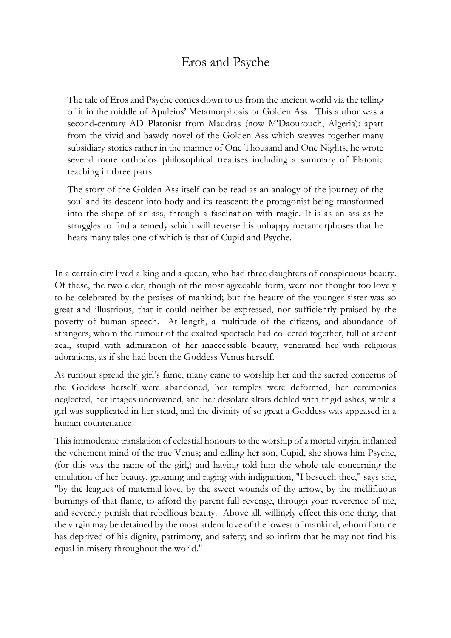## Eros and Psyche

The tale of Eros and Psyche comes down to us from the ancient world via the telling of it in the middle of Apuleius' Metamorphosis or Golden Ass. This author was a second-century AD Platonist from Maudras (now M'Daourouch, Algeria): apart from the vivid and bawdy novel of the Golden Ass which weaves together many subsidiary stories rather in the manner of One Thousand and One Nights, he wrote several more orthodox philosophical treatises including a summary of Platonic teaching in three parts.

The story of the Golden Ass itself can be read as an analogy of the journey of the soul and its descent into body and its reascent: the protagonist being transformed into the shape of an ass, through a fascination with magic. It is as an ass as he struggles to find a remedy which will reverse his unhappy metamorphoses that he hears many tales one of which is that of Cupid and Psyche.

In a certain city lived a king and a queen, who had three daughters of conspicuous beauty. Of these, the two elder, though of the most agreeable form, were not thought too lovely to be celebrated by the praises of mankind; but the beauty of the younger sister was so great and illustrious, that it could neither be expressed, nor sufficiently praised by the poverty of human speech. At length, a multitude of the citizens, and abundance of strangers, whom the rumour of the exalted spectacle had collected together, full of ardent zeal, stupid with admiration of her inaccessible beauty, venerated her with religious adorations, as if she had been the Goddess Venus herself.

As rumour spread the girl's fame, many came to worship her and the sacred concerns of the Goddess herself were abandoned, her temples were deformed, her ceremonies neglected, her images uncrowned, and her desolate altars defiled with frigid ashes, while a girl was supplicated in her stead, and the divinity of so great a Goddess was appeased in a human countenance

This immoderate translation of celestial honours to the worship of a mortal virgin, inflamed the vehement mind of the true Venus; and calling her son, Cupid, she shows him Psyche, (for this was the name of the girl,) and having told him the whole tale concerning the emulation of her beauty, groaning and raging with indignation, "I beseech thee," says she, "by the leagues of maternal love, by the sweet wounds of thy arrow, by the mellifluous burnings of that flame, to afford thy parent full revenge, through your reverence of me, and severely punish that rebellious beauty. Above all, willingly effect this one thing, that the virgin may be detained by the most ardent love of the lowest of mankind, whom fortune has deprived of his dignity, patrimony, and safety; and so infirm that he may not find his equal in misery throughout the world."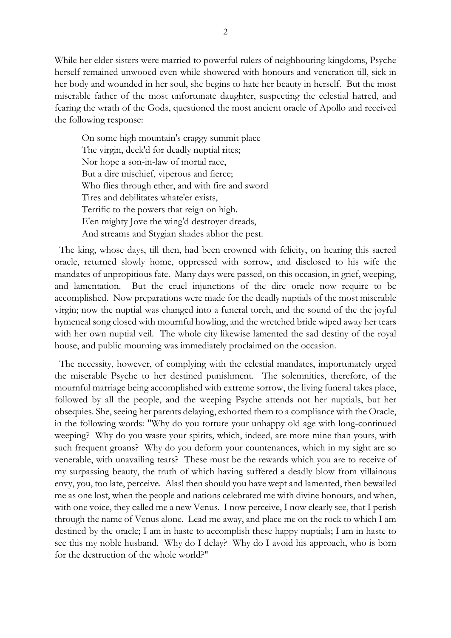While her elder sisters were married to powerful rulers of neighbouring kingdoms, Psyche herself remained unwooed even while showered with honours and veneration till, sick in her body and wounded in her soul, she begins to hate her beauty in herself. But the most miserable father of the most unfortunate daughter, suspecting the celestial hatred, and fearing the wrath of the Gods, questioned the most ancient oracle of Apollo and received the following response:

On some high mountain's craggy summit place The virgin, deck'd for deadly nuptial rites; Nor hope a son-in-law of mortal race, But a dire mischief, viperous and fierce; Who flies through ether, and with fire and sword Tires and debilitates whate'er exists, Terrific to the powers that reign on high. E'en mighty Jove the wing'd destroyer dreads, And streams and Stygian shades abhor the pest.

 The king, whose days, till then, had been crowned with felicity, on hearing this sacred oracle, returned slowly home, oppressed with sorrow, and disclosed to his wife the mandates of unpropitious fate. Many days were passed, on this occasion, in grief, weeping, and lamentation. But the cruel injunctions of the dire oracle now require to be accomplished. Now preparations were made for the deadly nuptials of the most miserable virgin; now the nuptial was changed into a funeral torch, and the sound of the the joyful hymeneal song closed with mournful howling, and the wretched bride wiped away her tears with her own nuptial veil. The whole city likewise lamented the sad destiny of the royal house, and public mourning was immediately proclaimed on the occasion.

 The necessity, however, of complying with the celestial mandates, importunately urged the miserable Psyche to her destined punishment. The solemnities, therefore, of the mournful marriage being accomplished with extreme sorrow, the living funeral takes place, followed by all the people, and the weeping Psyche attends not her nuptials, but her obsequies. She, seeing her parents delaying, exhorted them to a compliance with the Oracle, in the following words: "Why do you torture your unhappy old age with long-continued weeping? Why do you waste your spirits, which, indeed, are more mine than yours, with such frequent groans? Why do you deform your countenances, which in my sight are so venerable, with unavailing tears? These must be the rewards which you are to receive of my surpassing beauty, the truth of which having suffered a deadly blow from villainous envy, you, too late, perceive. Alas! then should you have wept and lamented, then bewailed me as one lost, when the people and nations celebrated me with divine honours, and when, with one voice, they called me a new Venus. I now perceive, I now clearly see, that I perish through the name of Venus alone. Lead me away, and place me on the rock to which I am destined by the oracle; I am in haste to accomplish these happy nuptials; I am in haste to see this my noble husband. Why do I delay? Why do I avoid his approach, who is born for the destruction of the whole world?"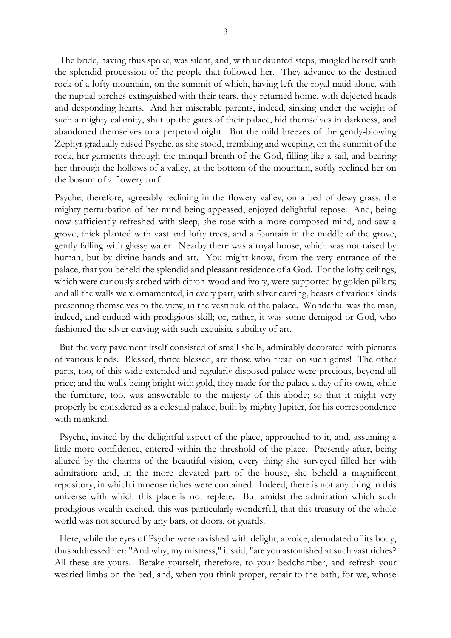The bride, having thus spoke, was silent, and, with undaunted steps, mingled herself with the splendid procession of the people that followed her. They advance to the destined rock of a lofty mountain, on the summit of which, having left the royal maid alone, with the nuptial torches extinguished with their tears, they returned home, with dejected heads and desponding hearts. And her miserable parents, indeed, sinking under the weight of such a mighty calamity, shut up the gates of their palace, hid themselves in darkness, and abandoned themselves to a perpetual night. But the mild breezes of the gently-blowing Zephyr gradually raised Psyche, as she stood, trembling and weeping, on the summit of the rock, her garments through the tranquil breath of the God, filling like a sail, and bearing her through the hollows of a valley, at the bottom of the mountain, softly reclined her on the bosom of a flowery turf.

Psyche, therefore, agreeably reclining in the flowery valley, on a bed of dewy grass, the mighty perturbation of her mind being appeased, enjoyed delightful repose. And, being now sufficiently refreshed with sleep, she rose with a more composed mind, and saw a grove, thick planted with vast and lofty trees, and a fountain in the middle of the grove, gently falling with glassy water. Nearby there was a royal house, which was not raised by human, but by divine hands and art. You might know, from the very entrance of the palace, that you beheld the splendid and pleasant residence of a God. For the lofty ceilings, which were curiously arched with citron-wood and ivory, were supported by golden pillars; and all the walls were ornamented, in every part, with silver carving, beasts of various kinds presenting themselves to the view, in the vestibule of the palace. Wonderful was the man, indeed, and endued with prodigious skill; or, rather, it was some demigod or God, who fashioned the silver carving with such exquisite subtility of art.

 But the very pavement itself consisted of small shells, admirably decorated with pictures of various kinds. Blessed, thrice blessed, are those who tread on such gems! The other parts, too, of this wide-extended and regularly disposed palace were precious, beyond all price; and the walls being bright with gold, they made for the palace a day of its own, while the furniture, too, was answerable to the majesty of this abode; so that it might very properly be considered as a celestial palace, built by mighty Jupiter, for his correspondence with mankind.

 Psyche, invited by the delightful aspect of the place, approached to it, and, assuming a little more confidence, entered within the threshold of the place. Presently after, being allured by the charms of the beautiful vision, every thing she surveyed filled her with admiration: and, in the more elevated part of the house, she beheld a magnificent repository, in which immense riches were contained. Indeed, there is not any thing in this universe with which this place is not replete. But amidst the admiration which such prodigious wealth excited, this was particularly wonderful, that this treasury of the whole world was not secured by any bars, or doors, or guards.

 Here, while the eyes of Psyche were ravished with delight, a voice, denudated of its body, thus addressed her: "And why, my mistress," it said, "are you astonished at such vast riches? All these are yours. Betake yourself, therefore, to your bedchamber, and refresh your wearied limbs on the bed, and, when you think proper, repair to the bath; for we, whose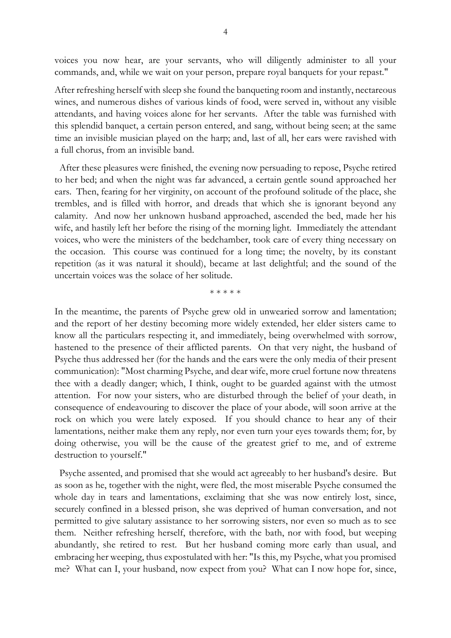voices you now hear, are your servants, who will diligently administer to all your commands, and, while we wait on your person, prepare royal banquets for your repast."

After refreshing herself with sleep she found the banqueting room and instantly, nectareous wines, and numerous dishes of various kinds of food, were served in, without any visible attendants, and having voices alone for her servants. After the table was furnished with this splendid banquet, a certain person entered, and sang, without being seen; at the same time an invisible musician played on the harp; and, last of all, her ears were ravished with a full chorus, from an invisible band.

 After these pleasures were finished, the evening now persuading to repose, Psyche retired to her bed; and when the night was far advanced, a certain gentle sound approached her ears. Then, fearing for her virginity, on account of the profound solitude of the place, she trembles, and is filled with horror, and dreads that which she is ignorant beyond any calamity. And now her unknown husband approached, ascended the bed, made her his wife, and hastily left her before the rising of the morning light. Immediately the attendant voices, who were the ministers of the bedchamber, took care of every thing necessary on the occasion. This course was continued for a long time; the novelty, by its constant repetition (as it was natural it should), became at last delightful; and the sound of the uncertain voices was the solace of her solitude.

\* \* \* \* \*

In the meantime, the parents of Psyche grew old in unwearied sorrow and lamentation; and the report of her destiny becoming more widely extended, her elder sisters came to know all the particulars respecting it, and immediately, being overwhelmed with sorrow, hastened to the presence of their afflicted parents. On that very night, the husband of Psyche thus addressed her (for the hands and the ears were the only media of their present communication): "Most charming Psyche, and dear wife, more cruel fortune now threatens thee with a deadly danger; which, I think, ought to be guarded against with the utmost attention. For now your sisters, who are disturbed through the belief of your death, in consequence of endeavouring to discover the place of your abode, will soon arrive at the rock on which you were lately exposed. If you should chance to hear any of their lamentations, neither make them any reply, nor even turn your eyes towards them; for, by doing otherwise, you will be the cause of the greatest grief to me, and of extreme destruction to yourself."

 Psyche assented, and promised that she would act agreeably to her husband's desire. But as soon as he, together with the night, were fled, the most miserable Psyche consumed the whole day in tears and lamentations, exclaiming that she was now entirely lost, since, securely confined in a blessed prison, she was deprived of human conversation, and not permitted to give salutary assistance to her sorrowing sisters, nor even so much as to see them. Neither refreshing herself, therefore, with the bath, nor with food, but weeping abundantly, she retired to rest. But her husband coming more early than usual, and embracing her weeping, thus expostulated with her: "Is this, my Psyche, what you promised me? What can I, your husband, now expect from you? What can I now hope for, since,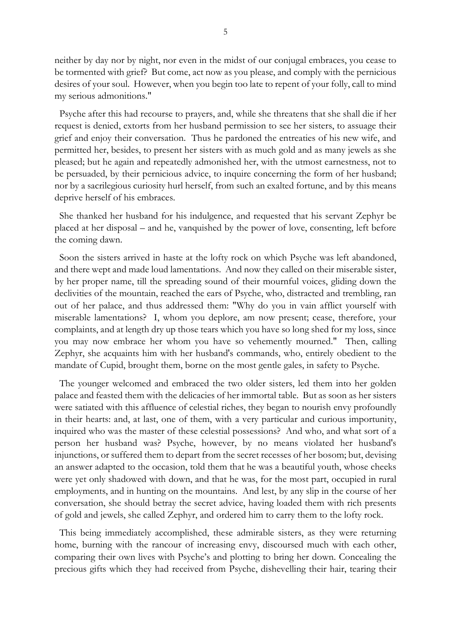neither by day nor by night, nor even in the midst of our conjugal embraces, you cease to be tormented with grief? But come, act now as you please, and comply with the pernicious desires of your soul. However, when you begin too late to repent of your folly, call to mind my serious admonitions."

 Psyche after this had recourse to prayers, and, while she threatens that she shall die if her request is denied, extorts from her husband permission to see her sisters, to assuage their grief and enjoy their conversation. Thus he pardoned the entreaties of his new wife, and permitted her, besides, to present her sisters with as much gold and as many jewels as she pleased; but he again and repeatedly admonished her, with the utmost earnestness, not to be persuaded, by their pernicious advice, to inquire concerning the form of her husband; nor by a sacrilegious curiosity hurl herself, from such an exalted fortune, and by this means deprive herself of his embraces.

 She thanked her husband for his indulgence, and requested that his servant Zephyr be placed at her disposal – and he, vanquished by the power of love, consenting, left before the coming dawn.

 Soon the sisters arrived in haste at the lofty rock on which Psyche was left abandoned, and there wept and made loud lamentations. And now they called on their miserable sister, by her proper name, till the spreading sound of their mournful voices, gliding down the declivities of the mountain, reached the ears of Psyche, who, distracted and trembling, ran out of her palace, and thus addressed them: "Why do you in vain afflict yourself with miserable lamentations? I, whom you deplore, am now present; cease, therefore, your complaints, and at length dry up those tears which you have so long shed for my loss, since you may now embrace her whom you have so vehemently mourned." Then, calling Zephyr, she acquaints him with her husband's commands, who, entirely obedient to the mandate of Cupid, brought them, borne on the most gentle gales, in safety to Psyche.

 The younger welcomed and embraced the two older sisters, led them into her golden palace and feasted them with the delicacies of her immortal table. But as soon as her sisters were satiated with this affluence of celestial riches, they began to nourish envy profoundly in their hearts: and, at last, one of them, with a very particular and curious importunity, inquired who was the master of these celestial possessions? And who, and what sort of a person her husband was? Psyche, however, by no means violated her husband's injunctions, or suffered them to depart from the secret recesses of her bosom; but, devising an answer adapted to the occasion, told them that he was a beautiful youth, whose cheeks were yet only shadowed with down, and that he was, for the most part, occupied in rural employments, and in hunting on the mountains. And lest, by any slip in the course of her conversation, she should betray the secret advice, having loaded them with rich presents of gold and jewels, she called Zephyr, and ordered him to carry them to the lofty rock.

 This being immediately accomplished, these admirable sisters, as they were returning home, burning with the rancour of increasing envy, discoursed much with each other, comparing their own lives with Psyche's and plotting to bring her down. Concealing the precious gifts which they had received from Psyche, dishevelling their hair, tearing their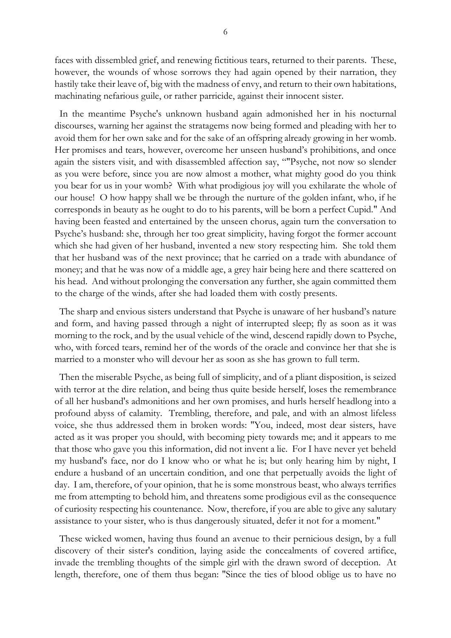faces with dissembled grief, and renewing fictitious tears, returned to their parents. These, however, the wounds of whose sorrows they had again opened by their narration, they hastily take their leave of, big with the madness of envy, and return to their own habitations, machinating nefarious guile, or rather parricide, against their innocent sister.

 In the meantime Psyche's unknown husband again admonished her in his nocturnal discourses, warning her against the stratagems now being formed and pleading with her to avoid them for her own sake and for the sake of an offspring already growing in her womb. Her promises and tears, however, overcome her unseen husband's prohibitions, and once again the sisters visit, and with disassembled affection say, ""Psyche, not now so slender as you were before, since you are now almost a mother, what mighty good do you think you bear for us in your womb? With what prodigious joy will you exhilarate the whole of our house! O how happy shall we be through the nurture of the golden infant, who, if he corresponds in beauty as he ought to do to his parents, will be born a perfect Cupid." And having been feasted and entertained by the unseen chorus, again turn the conversation to Psyche's husband: she, through her too great simplicity, having forgot the former account which she had given of her husband, invented a new story respecting him. She told them that her husband was of the next province; that he carried on a trade with abundance of money; and that he was now of a middle age, a grey hair being here and there scattered on his head. And without prolonging the conversation any further, she again committed them to the charge of the winds, after she had loaded them with costly presents.

 The sharp and envious sisters understand that Psyche is unaware of her husband's nature and form, and having passed through a night of interrupted sleep; fly as soon as it was morning to the rock, and by the usual vehicle of the wind, descend rapidly down to Psyche, who, with forced tears, remind her of the words of the oracle and convince her that she is married to a monster who will devour her as soon as she has grown to full term.

 Then the miserable Psyche, as being full of simplicity, and of a pliant disposition, is seized with terror at the dire relation, and being thus quite beside herself, loses the remembrance of all her husband's admonitions and her own promises, and hurls herself headlong into a profound abyss of calamity. Trembling, therefore, and pale, and with an almost lifeless voice, she thus addressed them in broken words: "You, indeed, most dear sisters, have acted as it was proper you should, with becoming piety towards me; and it appears to me that those who gave you this information, did not invent a lie. For I have never yet beheld my husband's face, nor do I know who or what he is; but only hearing him by night, I endure a husband of an uncertain condition, and one that perpetually avoids the light of day. I am, therefore, of your opinion, that he is some monstrous beast, who always terrifies me from attempting to behold him, and threatens some prodigious evil as the consequence of curiosity respecting his countenance. Now, therefore, if you are able to give any salutary assistance to your sister, who is thus dangerously situated, defer it not for a moment."

 These wicked women, having thus found an avenue to their pernicious design, by a full discovery of their sister's condition, laying aside the concealments of covered artifice, invade the trembling thoughts of the simple girl with the drawn sword of deception. At length, therefore, one of them thus began: "Since the ties of blood oblige us to have no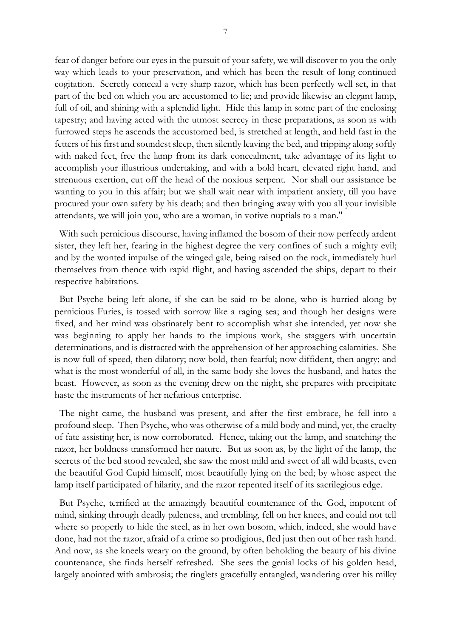fear of danger before our eyes in the pursuit of your safety, we will discover to you the only way which leads to your preservation, and which has been the result of long-continued cogitation. Secretly conceal a very sharp razor, which has been perfectly well set, in that part of the bed on which you are accustomed to lie; and provide likewise an elegant lamp, full of oil, and shining with a splendid light. Hide this lamp in some part of the enclosing tapestry; and having acted with the utmost secrecy in these preparations, as soon as with furrowed steps he ascends the accustomed bed, is stretched at length, and held fast in the fetters of his first and soundest sleep, then silently leaving the bed, and tripping along softly with naked feet, free the lamp from its dark concealment, take advantage of its light to accomplish your illustrious undertaking, and with a bold heart, elevated right hand, and strenuous exertion, cut off the head of the noxious serpent. Nor shall our assistance be wanting to you in this affair; but we shall wait near with impatient anxiety, till you have procured your own safety by his death; and then bringing away with you all your invisible attendants, we will join you, who are a woman, in votive nuptials to a man."

 With such pernicious discourse, having inflamed the bosom of their now perfectly ardent sister, they left her, fearing in the highest degree the very confines of such a mighty evil; and by the wonted impulse of the winged gale, being raised on the rock, immediately hurl themselves from thence with rapid flight, and having ascended the ships, depart to their respective habitations.

 But Psyche being left alone, if she can be said to be alone, who is hurried along by pernicious Furies, is tossed with sorrow like a raging sea; and though her designs were fixed, and her mind was obstinately bent to accomplish what she intended, yet now she was beginning to apply her hands to the impious work, she staggers with uncertain determinations, and is distracted with the apprehension of her approaching calamities. She is now full of speed, then dilatory; now bold, then fearful; now diffident, then angry; and what is the most wonderful of all, in the same body she loves the husband, and hates the beast. However, as soon as the evening drew on the night, she prepares with precipitate haste the instruments of her nefarious enterprise.

 The night came, the husband was present, and after the first embrace, he fell into a profound sleep. Then Psyche, who was otherwise of a mild body and mind, yet, the cruelty of fate assisting her, is now corroborated. Hence, taking out the lamp, and snatching the razor, her boldness transformed her nature. But as soon as, by the light of the lamp, the secrets of the bed stood revealed, she saw the most mild and sweet of all wild beasts, even the beautiful God Cupid himself, most beautifully lying on the bed; by whose aspect the lamp itself participated of hilarity, and the razor repented itself of its sacrilegious edge.

 But Psyche, terrified at the amazingly beautiful countenance of the God, impotent of mind, sinking through deadly paleness, and trembling, fell on her knees, and could not tell where so properly to hide the steel, as in her own bosom, which, indeed, she would have done, had not the razor, afraid of a crime so prodigious, fled just then out of her rash hand. And now, as she kneels weary on the ground, by often beholding the beauty of his divine countenance, she finds herself refreshed. She sees the genial locks of his golden head, largely anointed with ambrosia; the ringlets gracefully entangled, wandering over his milky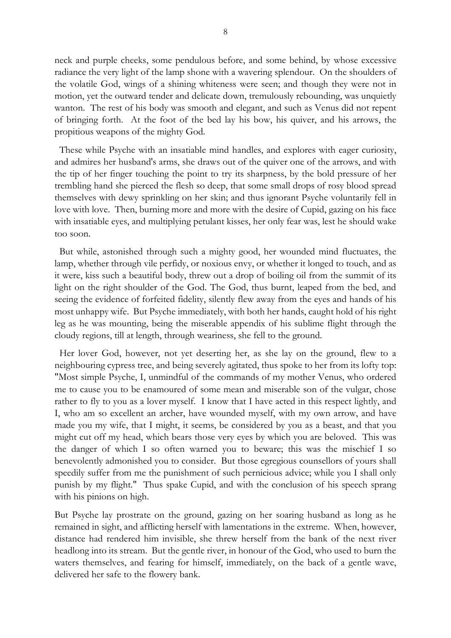neck and purple cheeks, some pendulous before, and some behind, by whose excessive radiance the very light of the lamp shone with a wavering splendour. On the shoulders of the volatile God, wings of a shining whiteness were seen; and though they were not in motion, yet the outward tender and delicate down, tremulously rebounding, was unquietly wanton. The rest of his body was smooth and elegant, and such as Venus did not repent of bringing forth. At the foot of the bed lay his bow, his quiver, and his arrows, the propitious weapons of the mighty God.

 These while Psyche with an insatiable mind handles, and explores with eager curiosity, and admires her husband's arms, she draws out of the quiver one of the arrows, and with the tip of her finger touching the point to try its sharpness, by the bold pressure of her trembling hand she pierced the flesh so deep, that some small drops of rosy blood spread themselves with dewy sprinkling on her skin; and thus ignorant Psyche voluntarily fell in love with love. Then, burning more and more with the desire of Cupid, gazing on his face with insatiable eyes, and multiplying petulant kisses, her only fear was, lest he should wake too soon.

 But while, astonished through such a mighty good, her wounded mind fluctuates, the lamp, whether through vile perfidy, or noxious envy, or whether it longed to touch, and as it were, kiss such a beautiful body, threw out a drop of boiling oil from the summit of its light on the right shoulder of the God. The God, thus burnt, leaped from the bed, and seeing the evidence of forfeited fidelity, silently flew away from the eyes and hands of his most unhappy wife. But Psyche immediately, with both her hands, caught hold of his right leg as he was mounting, being the miserable appendix of his sublime flight through the cloudy regions, till at length, through weariness, she fell to the ground.

 Her lover God, however, not yet deserting her, as she lay on the ground, flew to a neighbouring cypress tree, and being severely agitated, thus spoke to her from its lofty top: "Most simple Psyche, I, unmindful of the commands of my mother Venus, who ordered me to cause you to be enamoured of some mean and miserable son of the vulgar, chose rather to fly to you as a lover myself. I know that I have acted in this respect lightly, and I, who am so excellent an archer, have wounded myself, with my own arrow, and have made you my wife, that I might, it seems, be considered by you as a beast, and that you might cut off my head, which bears those very eyes by which you are beloved. This was the danger of which I so often warned you to beware; this was the mischief I so benevolently admonished you to consider. But those egregious counsellors of yours shall speedily suffer from me the punishment of such pernicious advice; while you I shall only punish by my flight." Thus spake Cupid, and with the conclusion of his speech sprang with his pinions on high.

But Psyche lay prostrate on the ground, gazing on her soaring husband as long as he remained in sight, and afflicting herself with lamentations in the extreme. When, however, distance had rendered him invisible, she threw herself from the bank of the next river headlong into its stream. But the gentle river, in honour of the God, who used to burn the waters themselves, and fearing for himself, immediately, on the back of a gentle wave, delivered her safe to the flowery bank.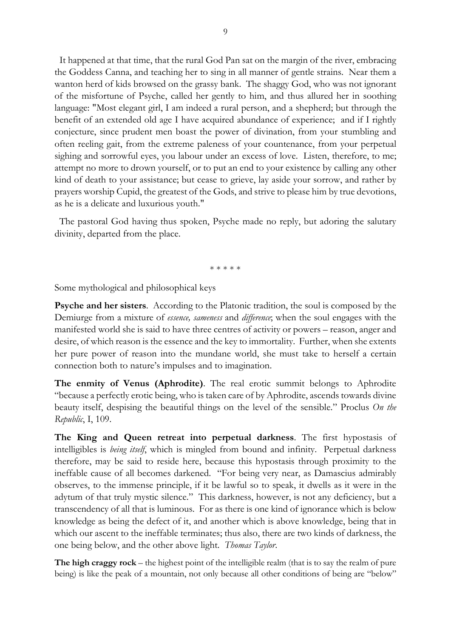It happened at that time, that the rural God Pan sat on the margin of the river, embracing the Goddess Canna, and teaching her to sing in all manner of gentle strains. Near them a wanton herd of kids browsed on the grassy bank. The shaggy God, who was not ignorant of the misfortune of Psyche, called her gently to him, and thus allured her in soothing language: "Most elegant girl, I am indeed a rural person, and a shepherd; but through the benefit of an extended old age I have acquired abundance of experience; and if I rightly conjecture, since prudent men boast the power of divination, from your stumbling and often reeling gait, from the extreme paleness of your countenance, from your perpetual sighing and sorrowful eyes, you labour under an excess of love. Listen, therefore, to me; attempt no more to drown yourself, or to put an end to your existence by calling any other kind of death to your assistance; but cease to grieve, lay aside your sorrow, and rather by prayers worship Cupid, the greatest of the Gods, and strive to please him by true devotions, as he is a delicate and luxurious youth."

 The pastoral God having thus spoken, Psyche made no reply, but adoring the salutary divinity, departed from the place.

\* \* \* \* \*

Some mythological and philosophical keys

**Psyche and her sisters**. According to the Platonic tradition, the soul is composed by the Demiurge from a mixture of *essence, sameness* and *difference*; when the soul engages with the manifested world she is said to have three centres of activity or powers – reason, anger and desire, of which reason is the essence and the key to immortality. Further, when she extents her pure power of reason into the mundane world, she must take to herself a certain connection both to nature's impulses and to imagination.

**The enmity of Venus (Aphrodite)**. The real erotic summit belongs to Aphrodite "because a perfectly erotic being, who is taken care of by Aphrodite, ascends towards divine beauty itself, despising the beautiful things on the level of the sensible." Proclus *On the Republic*, I, 109.

**The King and Queen retreat into perpetual darkness**. The first hypostasis of intelligibles is *being itself*, which is mingled from bound and infinity. Perpetual darkness therefore, may be said to reside here, because this hypostasis through proximity to the ineffable cause of all becomes darkened. "For being very near, as Damascius admirably observes, to the immense principle, if it be lawful so to speak, it dwells as it were in the adytum of that truly mystic silence." This darkness, however, is not any deficiency, but a transcendency of all that is luminous. For as there is one kind of ignorance which is below knowledge as being the defect of it, and another which is above knowledge, being that in which our ascent to the ineffable terminates; thus also, there are two kinds of darkness, the one being below, and the other above light. *Thomas Taylor*.

**The high craggy rock** – the highest point of the intelligible realm (that is to say the realm of pure being) is like the peak of a mountain, not only because all other conditions of being are "below"